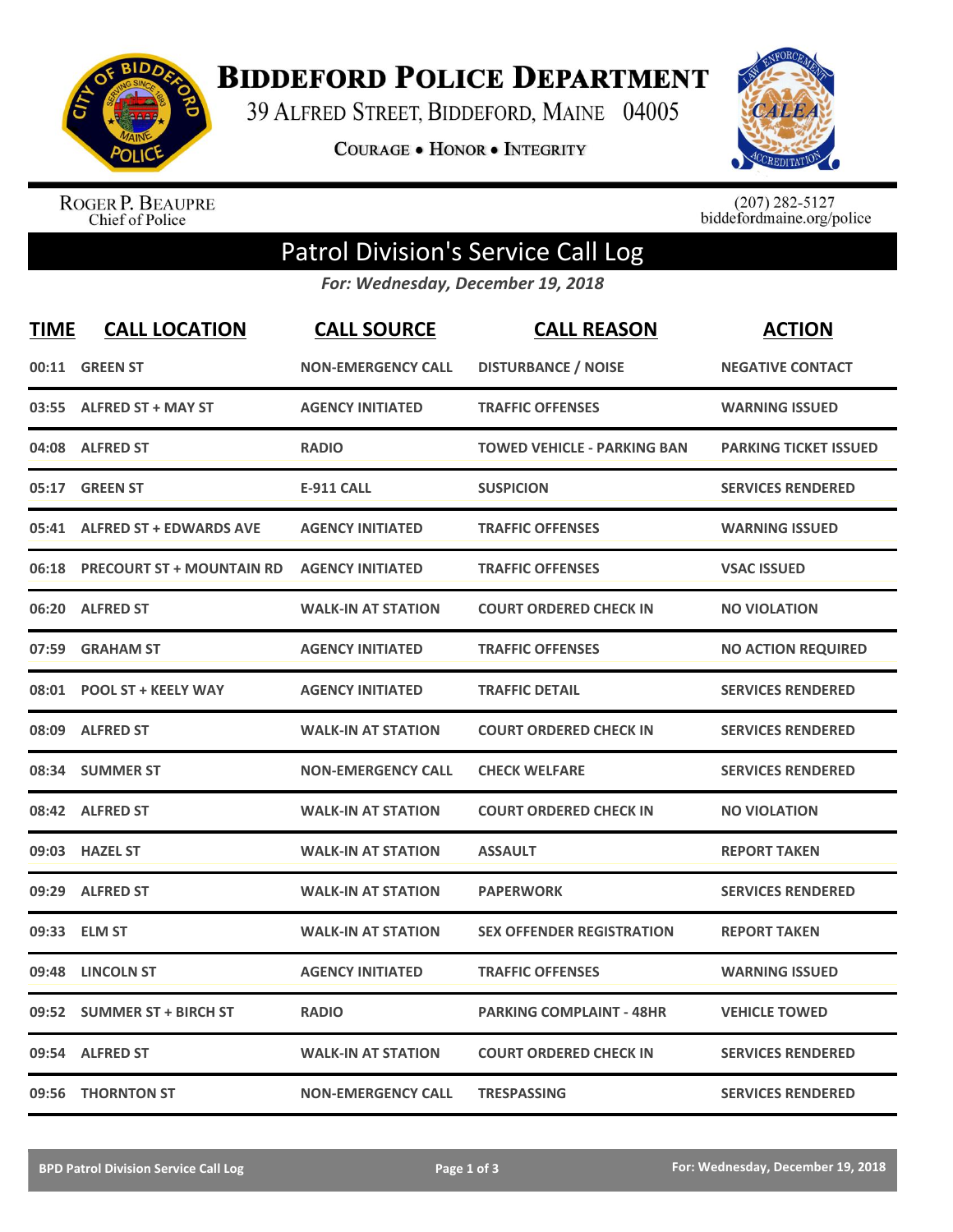

**BIDDEFORD POLICE DEPARTMENT** 

39 ALFRED STREET, BIDDEFORD, MAINE 04005

**COURAGE . HONOR . INTEGRITY** 



ROGER P. BEAUPRE<br>Chief of Police

 $(207)$  282-5127<br>biddefordmaine.org/police

## Patrol Division's Service Call Log

*For: Wednesday, December 19, 2018*

| <b>TIME</b> | <b>CALL LOCATION</b>             | <b>CALL SOURCE</b>        | <b>CALL REASON</b>                 | <b>ACTION</b>                |
|-------------|----------------------------------|---------------------------|------------------------------------|------------------------------|
| 00:11       | <b>GREEN ST</b>                  | <b>NON-EMERGENCY CALL</b> | <b>DISTURBANCE / NOISE</b>         | <b>NEGATIVE CONTACT</b>      |
| 03:55       | <b>ALFRED ST + MAY ST</b>        | <b>AGENCY INITIATED</b>   | <b>TRAFFIC OFFENSES</b>            | <b>WARNING ISSUED</b>        |
| 04:08       | <b>ALFRED ST</b>                 | <b>RADIO</b>              | <b>TOWED VEHICLE - PARKING BAN</b> | <b>PARKING TICKET ISSUED</b> |
| 05:17       | <b>GREEN ST</b>                  | <b>E-911 CALL</b>         | <b>SUSPICION</b>                   | <b>SERVICES RENDERED</b>     |
|             | 05:41 ALFRED ST + EDWARDS AVE    | <b>AGENCY INITIATED</b>   | <b>TRAFFIC OFFENSES</b>            | <b>WARNING ISSUED</b>        |
| 06:18       | <b>PRECOURT ST + MOUNTAIN RD</b> | <b>AGENCY INITIATED</b>   | <b>TRAFFIC OFFENSES</b>            | <b>VSAC ISSUED</b>           |
| 06:20       | <b>ALFRED ST</b>                 | <b>WALK-IN AT STATION</b> | <b>COURT ORDERED CHECK IN</b>      | <b>NO VIOLATION</b>          |
| 07:59       | <b>GRAHAM ST</b>                 | <b>AGENCY INITIATED</b>   | <b>TRAFFIC OFFENSES</b>            | <b>NO ACTION REQUIRED</b>    |
| 08:01       | <b>POOL ST + KEELY WAY</b>       | <b>AGENCY INITIATED</b>   | <b>TRAFFIC DETAIL</b>              | <b>SERVICES RENDERED</b>     |
|             | 08:09 ALFRED ST                  | <b>WALK-IN AT STATION</b> | <b>COURT ORDERED CHECK IN</b>      | <b>SERVICES RENDERED</b>     |
|             | 08:34 SUMMER ST                  | <b>NON-EMERGENCY CALL</b> | <b>CHECK WELFARE</b>               | <b>SERVICES RENDERED</b>     |
|             | 08:42 ALFRED ST                  | <b>WALK-IN AT STATION</b> | <b>COURT ORDERED CHECK IN</b>      | <b>NO VIOLATION</b>          |
|             | 09:03 HAZEL ST                   | <b>WALK-IN AT STATION</b> | <b>ASSAULT</b>                     | <b>REPORT TAKEN</b>          |
| 09:29       | <b>ALFRED ST</b>                 | <b>WALK-IN AT STATION</b> | <b>PAPERWORK</b>                   | <b>SERVICES RENDERED</b>     |
| 09:33       | <b>ELM ST</b>                    | <b>WALK-IN AT STATION</b> | <b>SEX OFFENDER REGISTRATION</b>   | <b>REPORT TAKEN</b>          |
| 09:48       | <b>LINCOLN ST</b>                | <b>AGENCY INITIATED</b>   | <b>TRAFFIC OFFENSES</b>            | <b>WARNING ISSUED</b>        |
| 09:52       | <b>SUMMER ST + BIRCH ST</b>      | <b>RADIO</b>              | <b>PARKING COMPLAINT - 48HR</b>    | <b>VEHICLE TOWED</b>         |
| 09:54       | <b>ALFRED ST</b>                 | <b>WALK-IN AT STATION</b> | <b>COURT ORDERED CHECK IN</b>      | <b>SERVICES RENDERED</b>     |
|             | 09:56 THORNTON ST                | <b>NON-EMERGENCY CALL</b> | <b>TRESPASSING</b>                 | <b>SERVICES RENDERED</b>     |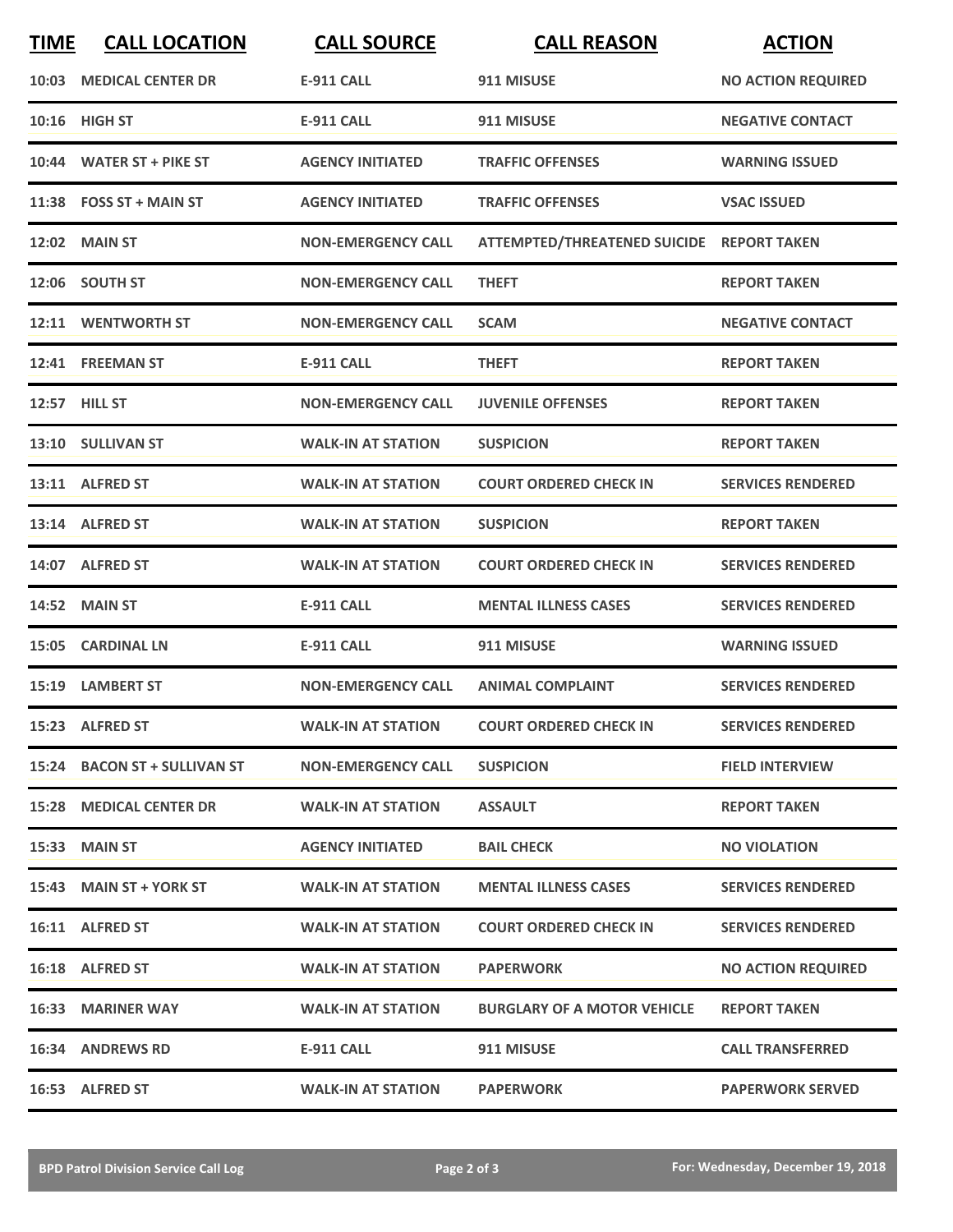| <b>TIME</b> | <b>CALL LOCATION</b>           | <b>CALL SOURCE</b>        | <b>CALL REASON</b>                        | <b>ACTION</b>             |
|-------------|--------------------------------|---------------------------|-------------------------------------------|---------------------------|
|             | 10:03 MEDICAL CENTER DR        | <b>E-911 CALL</b>         | 911 MISUSE                                | <b>NO ACTION REQUIRED</b> |
|             | 10:16 HIGH ST                  | <b>E-911 CALL</b>         | 911 MISUSE                                | <b>NEGATIVE CONTACT</b>   |
|             | 10:44 WATER ST + PIKE ST       | <b>AGENCY INITIATED</b>   | <b>TRAFFIC OFFENSES</b>                   | <b>WARNING ISSUED</b>     |
|             | 11:38 FOSS ST + MAIN ST        | <b>AGENCY INITIATED</b>   | <b>TRAFFIC OFFENSES</b>                   | <b>VSAC ISSUED</b>        |
|             | 12:02 MAIN ST                  | <b>NON-EMERGENCY CALL</b> | ATTEMPTED/THREATENED SUICIDE REPORT TAKEN |                           |
|             | 12:06 SOUTH ST                 | <b>NON-EMERGENCY CALL</b> | <b>THEFT</b>                              | <b>REPORT TAKEN</b>       |
|             | 12:11 WENTWORTH ST             | <b>NON-EMERGENCY CALL</b> | <b>SCAM</b>                               | <b>NEGATIVE CONTACT</b>   |
|             | 12:41 FREEMAN ST               | <b>E-911 CALL</b>         | <b>THEFT</b>                              | <b>REPORT TAKEN</b>       |
|             | 12:57 HILL ST                  | <b>NON-EMERGENCY CALL</b> | <b>JUVENILE OFFENSES</b>                  | <b>REPORT TAKEN</b>       |
|             | 13:10 SULLIVAN ST              | <b>WALK-IN AT STATION</b> | <b>SUSPICION</b>                          | <b>REPORT TAKEN</b>       |
|             | 13:11 ALFRED ST                | <b>WALK-IN AT STATION</b> | <b>COURT ORDERED CHECK IN</b>             | <b>SERVICES RENDERED</b>  |
|             | 13:14 ALFRED ST                | <b>WALK-IN AT STATION</b> | <b>SUSPICION</b>                          | <b>REPORT TAKEN</b>       |
|             | 14:07 ALFRED ST                | <b>WALK-IN AT STATION</b> | <b>COURT ORDERED CHECK IN</b>             | <b>SERVICES RENDERED</b>  |
|             | <b>14:52 MAIN ST</b>           | <b>E-911 CALL</b>         | <b>MENTAL ILLNESS CASES</b>               | <b>SERVICES RENDERED</b>  |
|             | 15:05 CARDINAL LN              | <b>E-911 CALL</b>         | 911 MISUSE                                | <b>WARNING ISSUED</b>     |
|             | 15:19 LAMBERT ST               | <b>NON-EMERGENCY CALL</b> | <b>ANIMAL COMPLAINT</b>                   | <b>SERVICES RENDERED</b>  |
|             | 15:23 ALFRED ST                | <b>WALK-IN AT STATION</b> | <b>COURT ORDERED CHECK IN</b>             | <b>SERVICES RENDERED</b>  |
|             | 15:24 BACON ST + SULLIVAN ST   | <b>NON-EMERGENCY CALL</b> | <b>SUSPICION</b>                          | <b>FIELD INTERVIEW</b>    |
|             | <b>15:28 MEDICAL CENTER DR</b> | <b>WALK-IN AT STATION</b> | <b>ASSAULT</b>                            | <b>REPORT TAKEN</b>       |
|             | <b>15:33 MAIN ST</b>           | <b>AGENCY INITIATED</b>   | <b>BAIL CHECK</b>                         | <b>NO VIOLATION</b>       |
|             | 15:43 MAIN ST + YORK ST        | <b>WALK-IN AT STATION</b> | <b>MENTAL ILLNESS CASES</b>               | <b>SERVICES RENDERED</b>  |
|             | 16:11 ALFRED ST                | <b>WALK-IN AT STATION</b> | <b>COURT ORDERED CHECK IN</b>             | <b>SERVICES RENDERED</b>  |
|             | 16:18 ALFRED ST                | <b>WALK-IN AT STATION</b> | <b>PAPERWORK</b>                          | <b>NO ACTION REQUIRED</b> |
|             | <b>16:33 MARINER WAY</b>       | <b>WALK-IN AT STATION</b> | <b>BURGLARY OF A MOTOR VEHICLE</b>        | <b>REPORT TAKEN</b>       |
|             | <b>16:34 ANDREWS RD</b>        | E-911 CALL                | 911 MISUSE                                | <b>CALL TRANSFERRED</b>   |
|             | 16:53 ALFRED ST                | <b>WALK-IN AT STATION</b> | <b>PAPERWORK</b>                          | <b>PAPERWORK SERVED</b>   |